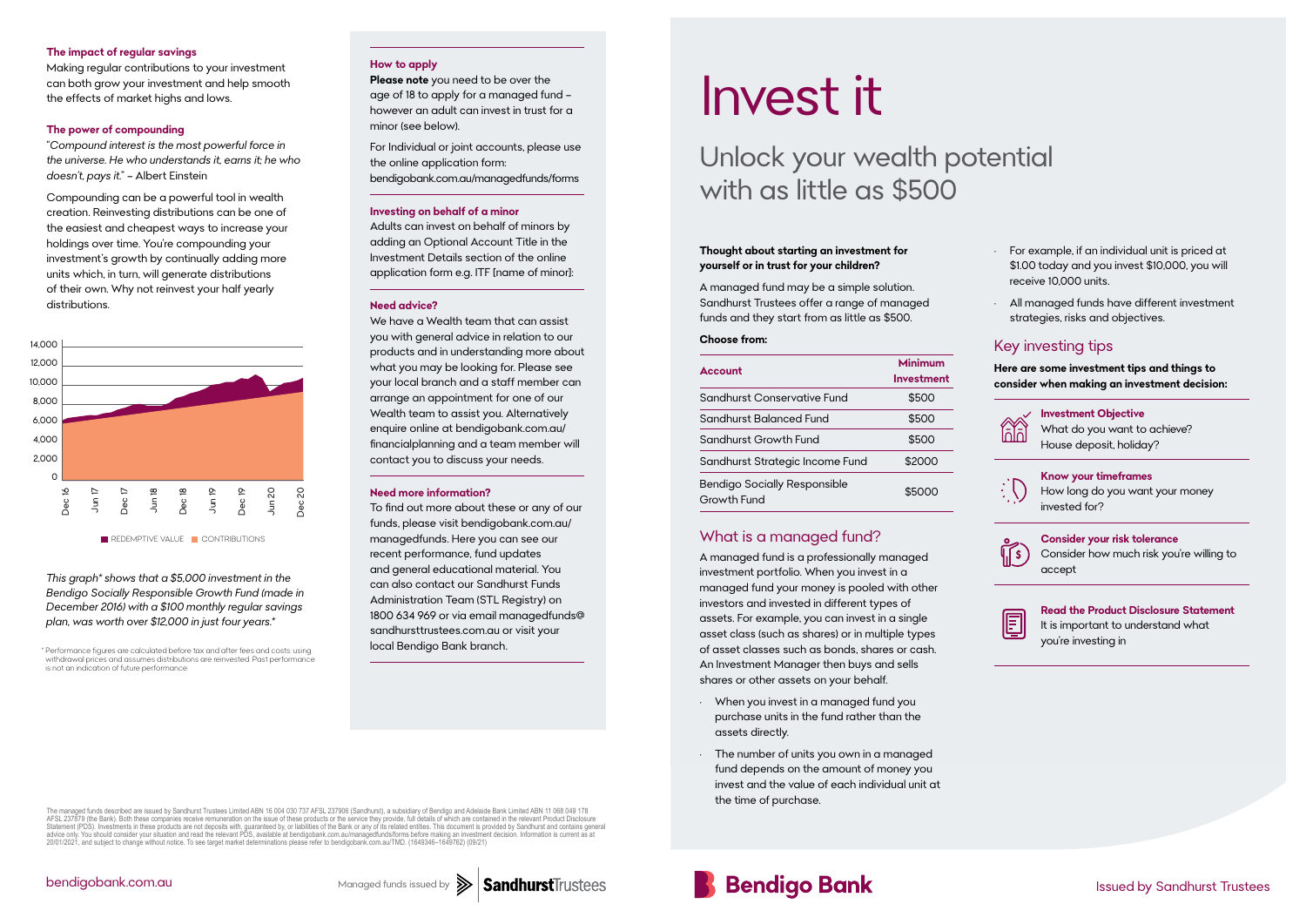#### **Thought about starting an investment for yourself or in trust for your children?**

A managed fund may be a simple solution. Sandhurst Trustees offer a range of managed funds and they start from as little as \$500.

#### **Choose from:**

| <b>Account</b>                                     | Minimum<br>Investment |
|----------------------------------------------------|-----------------------|
| Sandhurst Conservative Fund                        | \$500                 |
| Sandhurst Balanced Fund                            | \$500                 |
| Sandhurst Growth Fund                              | \$500                 |
| Sandhurst Strategic Income Fund                    | \$2000                |
| <b>Bendigo Socially Responsible</b><br>Growth Fund | \$5000                |

#### What is a managed fund?

A managed fund is a professionally managed investment portfolio. When you invest in a managed fund your money is pooled with other investors and invested in different types of assets. For example, you can invest in a single asset class (such as shares) or in multiple types of asset classes such as bonds, shares or cash. An Investment Manager then buys and sells shares or other assets on your behalf.

- When you invest in a managed fund you purchase units in the fund rather than the assets directly.
- The number of units you own in a managed fund depends on the amount of money you invest and the value of each individual unit at the time of purchase.

The managed funds described are issued by Sandhurst Trustees Limited ABN 16 004 030 737 AFSL 237906 (Sandhurst), a subsidiary of Bendigo and Adelaide Bank Limited ABN 11 068 049 178<br>AFSL 237879 (the Bank). Both these compa advice only. You should consider your situation and read the relevant PDS, available at bendigobank.com.au/managedfunds/forms before making an investment decision. Information is current as at 20/01/2021, and subject to ch



- For example, if an individual unit is priced at \$1.00 today and you invest \$10,000, you will receive 10,000 units.
- All managed funds have different investment strategies, risks and objectives.

### Key investing tips

**Here are some investment tips and things to consider when making an investment decision:**

**Investment Objective** What do you want to achieve? House deposit, holiday?

**Know your timeframes** How long do you want your money invested for?



**Consider your risk tolerance** Consider how much risk you're willing to accept



**Read the Product Disclosure Statement** It is important to understand what you're investing in

## Unlock your wealth potential with as little as \$500

# Invest it

Issued by Sandhurst Trustees

We have a Wealth team that can assist you with general advice in relation to our products and in understanding more about what you may be looking for. Please see your local branch and a staff member can arrange an appointment for one of our Wealth team to assist you. Alternatively enquire online at bendigobank.com.au/ financialplanning and a team member will contact you to discuss your needs.

 $^\ast$  Performance figures are calculated before tax and after fees and costs; using **local Bendigo Bank branch.** withdrawal prices and assumes distributions are reinvested. Past performance

#### **The impact of regular savings**

Making regular contributions to your investment can both grow your investment and help smooth the effects of market highs and lows.

#### **The power of compounding**

"*Compound interest is the most powerful force in the universe. He who understands it, earns it; he who doesn't, pays it.*" – Albert Einstein

Compounding can be a powerful tool in wealth creation. Reinvesting distributions can be one of the easiest and cheapest ways to increase your holdings over time. You're compounding your investment's growth by continually adding more units which, in turn, will generate distributions of their own. Why not reinvest your half yearly distributions.

#### **How to apply**

**Please note** you need to be over the age of 18 to apply for a managed fund – however an adult can invest in trust for a minor (see below).

For Individual or joint accounts, please use the online application form: bendigobank.com.au/managedfunds/forms

#### **Investing on behalf of a minor**

Adults can invest on behalf of minors by adding an Optional Account Title in the Investment Details section of the online application form e.g. ITF [name of minor]:

#### **Need advice?**

#### **Need more information?**

To find out more about these or any of our funds, please visit bendigobank.com.au/ managedfunds. Here you can see our recent performance, fund updates and general educational material. You can also contact our Sandhurst Funds Administration Team (STL Registry) on 1800 634 969 or via email managedfunds@ sandhursttrustees.com.au or visit your



*This graph\* shows that a \$5,000 investment in the Bendigo Socially Responsible Growth Fund (made in December 2016) with a \$100 monthly regular savings plan, was worth over \$12,000 in just four years.\**